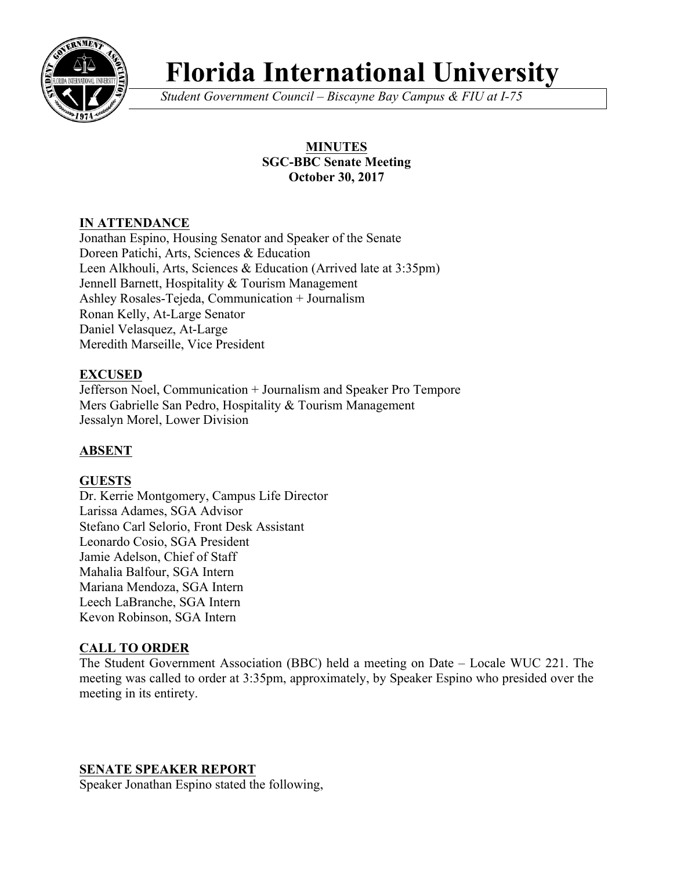

# **Florida International University**

*Student Government Council – Biscayne Bay Campus & FIU at I-75*

# **MINUTES SGC-BBC Senate Meeting October 30, 2017**

# **IN ATTENDANCE**

Jonathan Espino, Housing Senator and Speaker of the Senate Doreen Patichi, Arts, Sciences & Education Leen Alkhouli, Arts, Sciences & Education (Arrived late at 3:35pm) Jennell Barnett, Hospitality & Tourism Management Ashley Rosales-Tejeda, Communication + Journalism Ronan Kelly, At-Large Senator Daniel Velasquez, At-Large Meredith Marseille, Vice President

# **EXCUSED**

Jefferson Noel, Communication + Journalism and Speaker Pro Tempore Mers Gabrielle San Pedro, Hospitality & Tourism Management Jessalyn Morel, Lower Division

# **ABSENT**

# **GUESTS**

Dr. Kerrie Montgomery, Campus Life Director Larissa Adames, SGA Advisor Stefano Carl Selorio, Front Desk Assistant Leonardo Cosio, SGA President Jamie Adelson, Chief of Staff Mahalia Balfour, SGA Intern Mariana Mendoza, SGA Intern Leech LaBranche, SGA Intern Kevon Robinson, SGA Intern

# **CALL TO ORDER**

The Student Government Association (BBC) held a meeting on Date – Locale WUC 221. The meeting was called to order at 3:35pm, approximately, by Speaker Espino who presided over the meeting in its entirety.

#### **SENATE SPEAKER REPORT**

Speaker Jonathan Espino stated the following,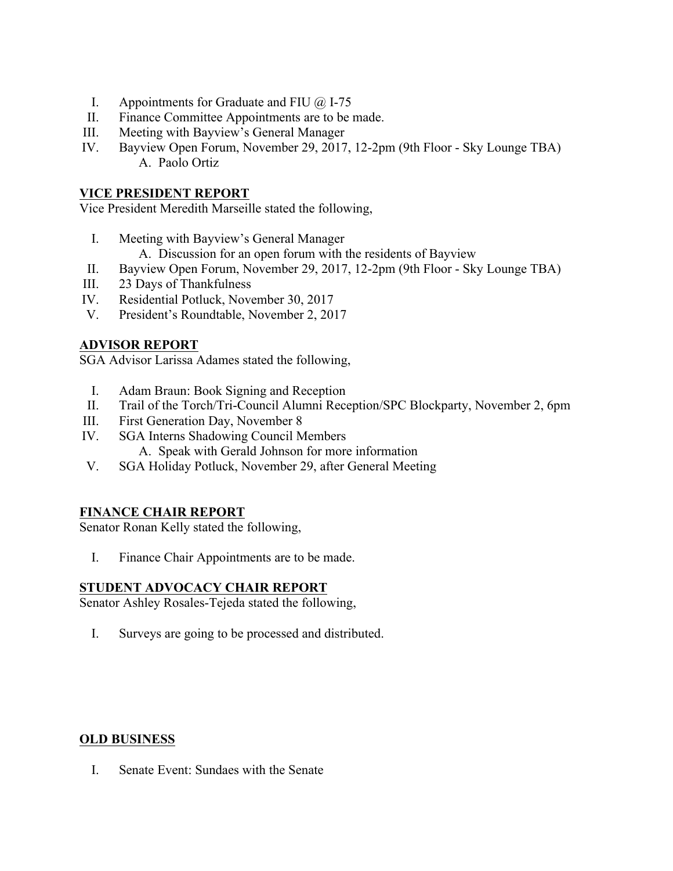- I. Appointments for Graduate and FIU  $\omega$  I-75
- II. Finance Committee Appointments are to be made.
- III. Meeting with Bayview's General Manager
- IV. Bayview Open Forum, November 29, 2017, 12-2pm (9th Floor Sky Lounge TBA) A. Paolo Ortiz

#### **VICE PRESIDENT REPORT**

Vice President Meredith Marseille stated the following,

- I. Meeting with Bayview's General Manager
	- A. Discussion for an open forum with the residents of Bayview
- II. Bayview Open Forum, November 29, 2017, 12-2pm (9th Floor Sky Lounge TBA)
- III. 23 Days of Thankfulness
- IV. Residential Potluck, November 30, 2017
- V. President's Roundtable, November 2, 2017

# **ADVISOR REPORT**

SGA Advisor Larissa Adames stated the following,

- I. Adam Braun: Book Signing and Reception
- II. Trail of the Torch/Tri-Council Alumni Reception/SPC Blockparty, November 2, 6pm
- III. First Generation Day, November 8
- IV. SGA Interns Shadowing Council Members A. Speak with Gerald Johnson for more information
- V. SGA Holiday Potluck, November 29, after General Meeting

# **FINANCE CHAIR REPORT**

Senator Ronan Kelly stated the following,

I. Finance Chair Appointments are to be made.

#### **STUDENT ADVOCACY CHAIR REPORT**

Senator Ashley Rosales-Tejeda stated the following,

I. Surveys are going to be processed and distributed.

#### **OLD BUSINESS**

I. Senate Event: Sundaes with the Senate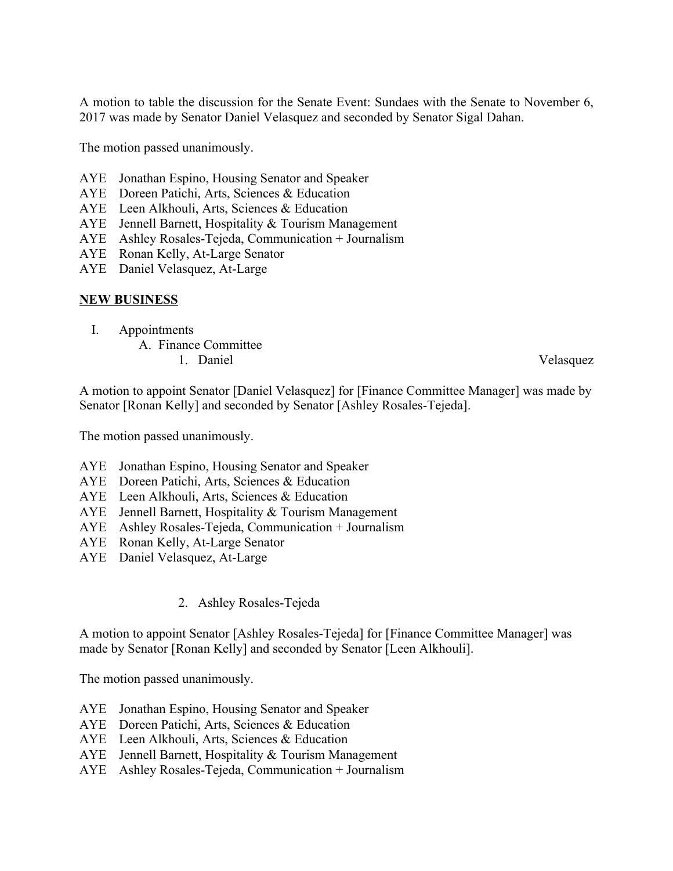A motion to table the discussion for the Senate Event: Sundaes with the Senate to November 6, 2017 was made by Senator Daniel Velasquez and seconded by Senator Sigal Dahan.

The motion passed unanimously.

- AYE Jonathan Espino, Housing Senator and Speaker
- AYE Doreen Patichi, Arts, Sciences & Education
- AYE Leen Alkhouli, Arts, Sciences & Education
- AYE Jennell Barnett, Hospitality & Tourism Management
- AYE Ashley Rosales-Tejeda, Communication + Journalism
- AYE Ronan Kelly, At-Large Senator
- AYE Daniel Velasquez, At-Large

#### **NEW BUSINESS**

- I. Appointments
	- A. Finance Committee
		- 1. Daniel Velasquez

A motion to appoint Senator [Daniel Velasquez] for [Finance Committee Manager] was made by Senator [Ronan Kelly] and seconded by Senator [Ashley Rosales-Tejeda].

The motion passed unanimously.

- AYE Jonathan Espino, Housing Senator and Speaker
- AYE Doreen Patichi, Arts, Sciences & Education
- AYE Leen Alkhouli, Arts, Sciences & Education
- AYE Jennell Barnett, Hospitality & Tourism Management
- AYE Ashley Rosales-Tejeda, Communication + Journalism
- AYE Ronan Kelly, At-Large Senator
- AYE Daniel Velasquez, At-Large
	- 2. Ashley Rosales-Tejeda

A motion to appoint Senator [Ashley Rosales-Tejeda] for [Finance Committee Manager] was made by Senator [Ronan Kelly] and seconded by Senator [Leen Alkhouli].

The motion passed unanimously.

- AYE Jonathan Espino, Housing Senator and Speaker
- AYE Doreen Patichi, Arts, Sciences & Education
- AYE Leen Alkhouli, Arts, Sciences & Education
- AYE Jennell Barnett, Hospitality & Tourism Management
- AYE Ashley Rosales-Tejeda, Communication + Journalism